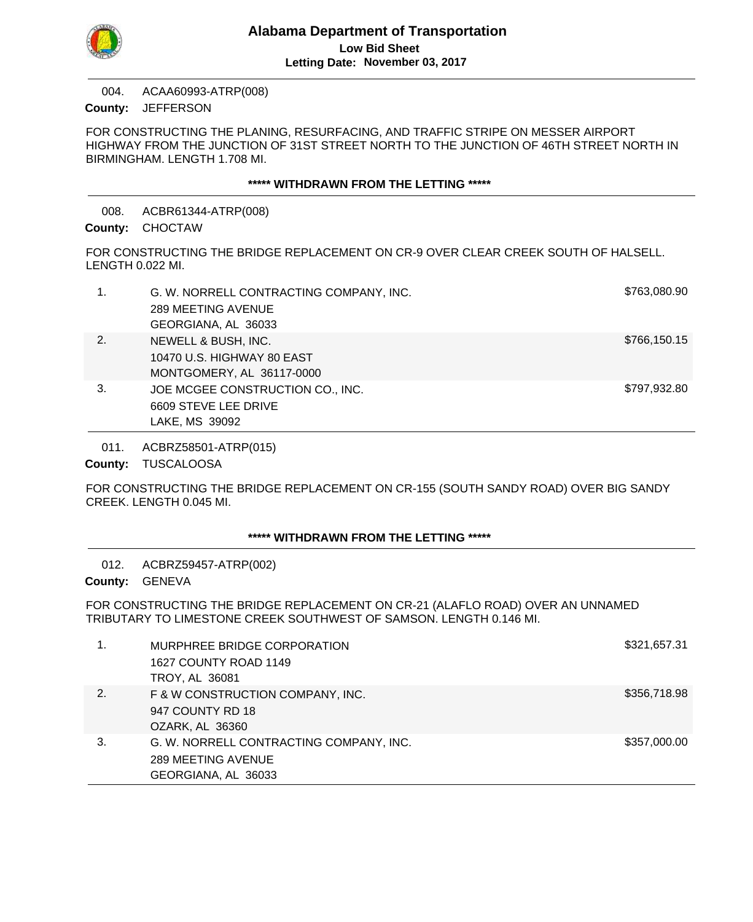

ACAA60993-ATRP(008) County: JEFFERSON 004.

FOR CONSTRUCTING THE PLANING, RESURFACING, AND TRAFFIC STRIPE ON MESSER AIRPORT HIGHWAY FROM THE JUNCTION OF 31ST STREET NORTH TO THE JUNCTION OF 46TH STREET NORTH IN BIRMINGHAM. LENGTH 1.708 MI.

#### **\*\*\*\*\* WITHDRAWN FROM THE LETTING \*\*\*\*\***

ACBR61344-ATRP(008) 008.

# County: CHOCTAW

FOR CONSTRUCTING THE BRIDGE REPLACEMENT ON CR-9 OVER CLEAR CREEK SOUTH OF HALSELL. LENGTH 0.022 MI.

|    | G. W. NORRELL CONTRACTING COMPANY, INC. | \$763,080.90 |
|----|-----------------------------------------|--------------|
|    | 289 MEETING AVENUE                      |              |
|    | GEORGIANA, AL 36033                     |              |
| 2. | NEWELL & BUSH, INC.                     | \$766,150.15 |
|    | 10470 U.S. HIGHWAY 80 EAST              |              |
|    | MONTGOMERY, AL 36117-0000               |              |
| 3. | JOE MCGEE CONSTRUCTION CO., INC.        | \$797,932.80 |
|    | 6609 STEVE LEE DRIVE                    |              |
|    | LAKE, MS 39092                          |              |

ACBRZ58501-ATRP(015) 011.

County: TUSCALOOSA

FOR CONSTRUCTING THE BRIDGE REPLACEMENT ON CR-155 (SOUTH SANDY ROAD) OVER BIG SANDY CREEK. LENGTH 0.045 MI.

# **\*\*\*\*\* WITHDRAWN FROM THE LETTING \*\*\*\*\***

ACBRZ59457-ATRP(002) 012.

County: GENEVA

FOR CONSTRUCTING THE BRIDGE REPLACEMENT ON CR-21 (ALAFLO ROAD) OVER AN UNNAMED TRIBUTARY TO LIMESTONE CREEK SOUTHWEST OF SAMSON. LENGTH 0.146 MI.

|    | MURPHREE BRIDGE CORPORATION             | \$321,657.31 |
|----|-----------------------------------------|--------------|
|    | 1627 COUNTY ROAD 1149<br>TROY, AL 36081 |              |
|    |                                         |              |
| 2. | F & W CONSTRUCTION COMPANY, INC.        | \$356,718.98 |
|    | 947 COUNTY RD 18                        |              |
|    | OZARK, AL 36360                         |              |
| 3. | G. W. NORRELL CONTRACTING COMPANY, INC. | \$357,000.00 |
|    | 289 MEETING AVENUE                      |              |
|    | GEORGIANA, AL 36033                     |              |
|    |                                         |              |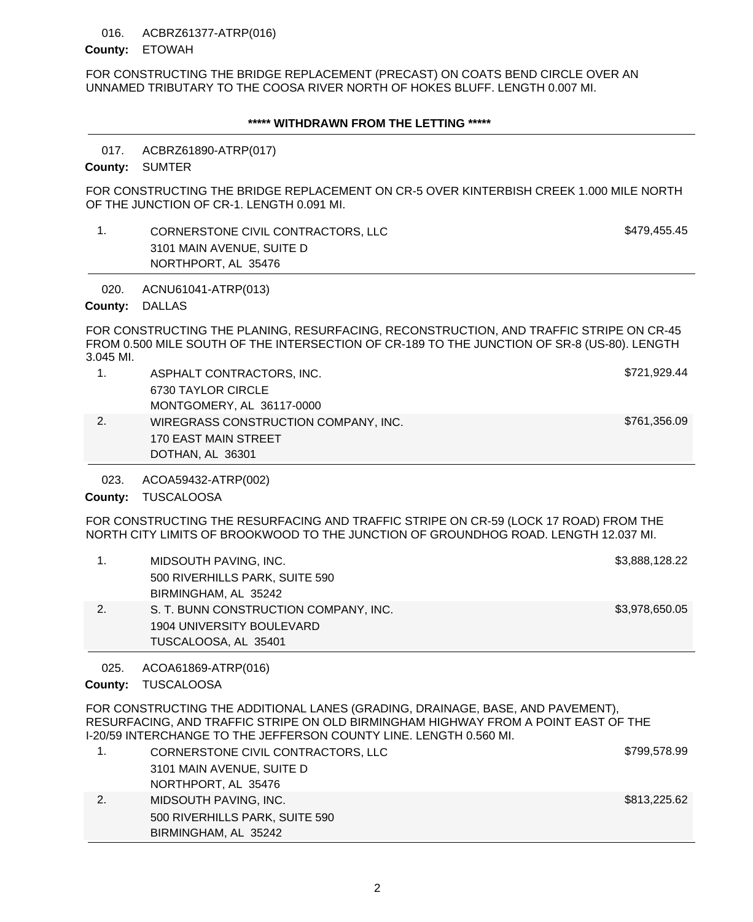### 016. ACBRZ61377-ATRP(016)

### County: ETOWAH

FOR CONSTRUCTING THE BRIDGE REPLACEMENT (PRECAST) ON COATS BEND CIRCLE OVER AN UNNAMED TRIBUTARY TO THE COOSA RIVER NORTH OF HOKES BLUFF. LENGTH 0.007 MI.

### **\*\*\*\*\* WITHDRAWN FROM THE LETTING \*\*\*\*\***

#### ACBRZ61890-ATRP(017) 017.

County: SUMTER

FOR CONSTRUCTING THE BRIDGE REPLACEMENT ON CR-5 OVER KINTERBISH CREEK 1.000 MILE NORTH OF THE JUNCTION OF CR-1. LENGTH 0.091 MI.

# 1. CORNERSTONE CIVIL CONTRACTORS, LLC 5479,455.45 3101 MAIN AVENUE, SUITE D NORTHPORT, AL 35476

#### ACNU61041-ATRP(013) 020.

County: DALLAS

FOR CONSTRUCTING THE PLANING, RESURFACING, RECONSTRUCTION, AND TRAFFIC STRIPE ON CR-45 FROM 0.500 MILE SOUTH OF THE INTERSECTION OF CR-189 TO THE JUNCTION OF SR-8 (US-80). LENGTH 3.045 MI.

1. ASPHALT CONTRACTORS, INC. And the state of the state of the state of the state of the state of the state of the state of the state of the state of the state of the state of the state of the state of the state of the sta 6730 TAYLOR CIRCLE MONTGOMERY, AL 36117-0000 2. WIREGRASS CONSTRUCTION COMPANY, INC. \$761,356.09 170 EAST MAIN STREET DOTHAN, AL 36301

ACOA59432-ATRP(002) 023.

County: TUSCALOOSA

FOR CONSTRUCTING THE RESURFACING AND TRAFFIC STRIPE ON CR-59 (LOCK 17 ROAD) FROM THE NORTH CITY LIMITS OF BROOKWOOD TO THE JUNCTION OF GROUNDHOG ROAD. LENGTH 12.037 MI.

|    | MIDSOUTH PAVING, INC.                 | \$3,888,128.22 |
|----|---------------------------------------|----------------|
|    | 500 RIVERHILLS PARK, SUITE 590        |                |
|    | BIRMINGHAM, AL 35242                  |                |
| 2. | S. T. BUNN CONSTRUCTION COMPANY, INC. | \$3,978,650.05 |
|    | 1904 UNIVERSITY BOULEVARD             |                |
|    | TUSCALOOSA, AL 35401                  |                |

ACOA61869-ATRP(016) 025.

County: TUSCALOOSA

FOR CONSTRUCTING THE ADDITIONAL LANES (GRADING, DRAINAGE, BASE, AND PAVEMENT), RESURFACING, AND TRAFFIC STRIPE ON OLD BIRMINGHAM HIGHWAY FROM A POINT EAST OF THE I-20/59 INTERCHANGE TO THE JEFFERSON COUNTY LINE. LENGTH 0.560 MI.

|    | CORNERSTONE CIVIL CONTRACTORS, LLC | \$799,578.99 |
|----|------------------------------------|--------------|
|    | 3101 MAIN AVENUE, SUITE D          |              |
|    | NORTHPORT, AL 35476                |              |
| 2. | MIDSOUTH PAVING, INC.              | \$813,225.62 |
|    | 500 RIVERHILLS PARK, SUITE 590     |              |
|    | BIRMINGHAM, AL 35242               |              |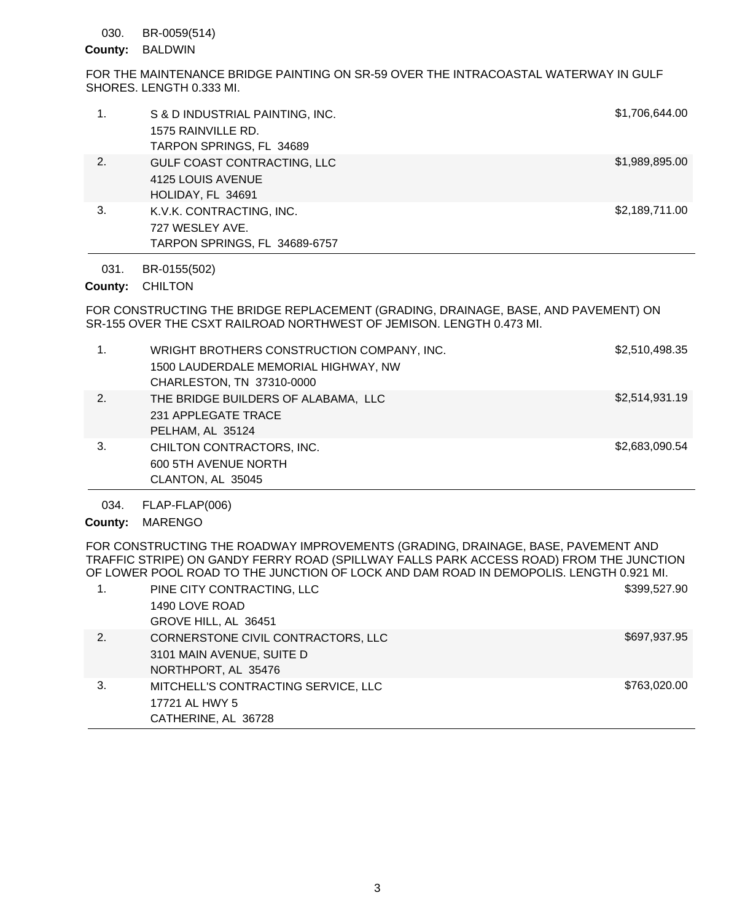BR-0059(514) 030.

County: BALDWIN

FOR THE MAINTENANCE BRIDGE PAINTING ON SR-59 OVER THE INTRACOASTAL WATERWAY IN GULF SHORES. LENGTH 0.333 MI.

| 1. | S & D INDUSTRIAL PAINTING, INC.<br>1575 RAINVILLE RD.<br>TARPON SPRINGS, FL 34689 | \$1,706,644.00 |
|----|-----------------------------------------------------------------------------------|----------------|
| 2. | GULF COAST CONTRACTING, LLC<br>4125 LOUIS AVENUE<br>HOLIDAY, FL 34691             | \$1,989,895.00 |
| 3. | K.V.K. CONTRACTING, INC.<br>727 WESLEY AVE.<br>TARPON SPRINGS, FL 34689-6757      | \$2,189,711.00 |

BR-0155(502) 031.

County: CHILTON

FOR CONSTRUCTING THE BRIDGE REPLACEMENT (GRADING, DRAINAGE, BASE, AND PAVEMENT) ON SR-155 OVER THE CSXT RAILROAD NORTHWEST OF JEMISON. LENGTH 0.473 MI.

| $\mathbf{1}$ . | WRIGHT BROTHERS CONSTRUCTION COMPANY, INC. | \$2,510,498.35 |
|----------------|--------------------------------------------|----------------|
|                | 1500 LAUDERDALE MEMORIAL HIGHWAY, NW       |                |
|                | CHARLESTON, TN 37310-0000                  |                |
| 2.             | THE BRIDGE BUILDERS OF ALABAMA, LLC        | \$2,514,931.19 |
|                | 231 APPLEGATE TRACE                        |                |
|                | PELHAM, AL 35124                           |                |
| 3.             | CHILTON CONTRACTORS, INC.                  | \$2,683,090.54 |
|                | 600 5TH AVENUE NORTH                       |                |
|                | CLANTON, AL 35045                          |                |

FLAP-FLAP(006) 034.

County: MARENGO

FOR CONSTRUCTING THE ROADWAY IMPROVEMENTS (GRADING, DRAINAGE, BASE, PAVEMENT AND TRAFFIC STRIPE) ON GANDY FERRY ROAD (SPILLWAY FALLS PARK ACCESS ROAD) FROM THE JUNCTION OF LOWER POOL ROAD TO THE JUNCTION OF LOCK AND DAM ROAD IN DEMOPOLIS. LENGTH 0.921 MI.

|              | PINE CITY CONTRACTING, LLC<br>1490 LOVE ROAD<br>GROVE HILL, AL 36451                   | \$399,527.90 |
|--------------|----------------------------------------------------------------------------------------|--------------|
| $\mathbf{2}$ | CORNERSTONE CIVIL CONTRACTORS, LLC<br>3101 MAIN AVENUE, SUITE D<br>NORTHPORT, AL 35476 | \$697,937.95 |
| 3.           | MITCHELL'S CONTRACTING SERVICE, LLC<br>17721 AL HWY 5<br>CATHERINE, AL 36728           | \$763,020.00 |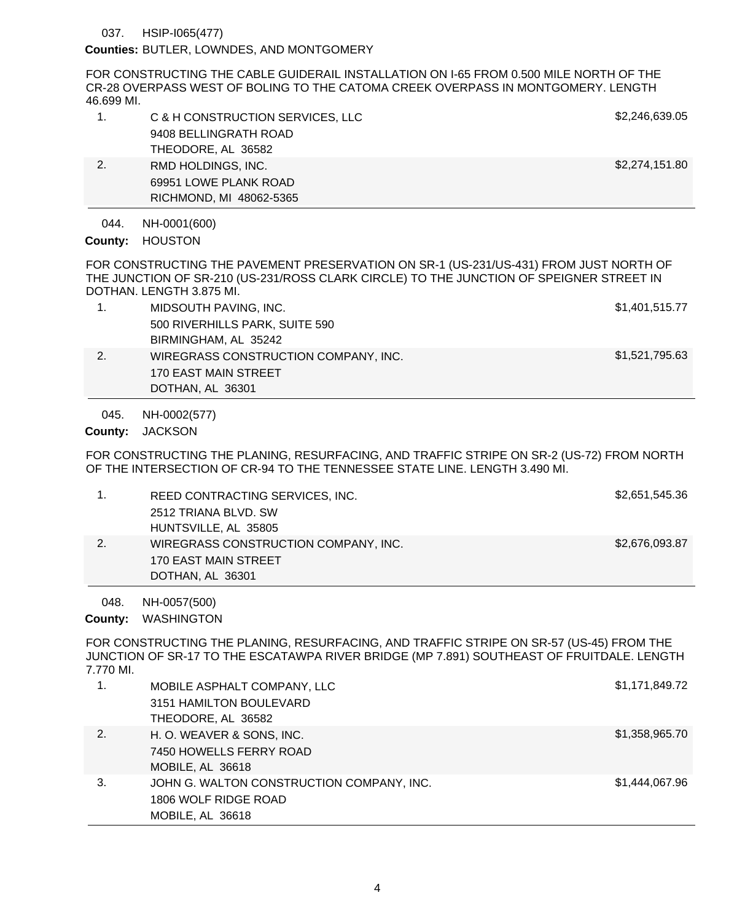HSIP-I065(477) 037.

Counties: BUTLER, LOWNDES, AND MONTGOMERY

FOR CONSTRUCTING THE CABLE GUIDERAIL INSTALLATION ON I-65 FROM 0.500 MILE NORTH OF THE CR-28 OVERPASS WEST OF BOLING TO THE CATOMA CREEK OVERPASS IN MONTGOMERY. LENGTH 46.699 MI.

| 1.   | C & H CONSTRUCTION SERVICES, LLC | \$2,246,639.05 |
|------|----------------------------------|----------------|
|      | 9408 BELLINGRATH ROAD            |                |
|      | THEODORE, AL 36582               |                |
| 2.   | RMD HOLDINGS, INC.               | \$2,274,151.80 |
|      | 69951 LOWE PLANK ROAD            |                |
|      | RICHMOND, MI 48062-5365          |                |
| 044. | NH-0001(600)                     |                |

County: HOUSTON

FOR CONSTRUCTING THE PAVEMENT PRESERVATION ON SR-1 (US-231/US-431) FROM JUST NORTH OF THE JUNCTION OF SR-210 (US-231/ROSS CLARK CIRCLE) TO THE JUNCTION OF SPEIGNER STREET IN DOTHAN. LENGTH 3.875 MI.

1. MIDSOUTH PAVING, INC. \$1,401,515.77 500 RIVERHILLS PARK, SUITE 590 BIRMINGHAM, AL 35242 2. WIREGRASS CONSTRUCTION COMPANY, INC. \$1,521,795.63 170 EAST MAIN STREET DOTHAN, AL 36301

NH-0002(577) 045.

County: JACKSON

FOR CONSTRUCTING THE PLANING, RESURFACING, AND TRAFFIC STRIPE ON SR-2 (US-72) FROM NORTH OF THE INTERSECTION OF CR-94 TO THE TENNESSEE STATE LINE. LENGTH 3.490 MI.

|    | REED CONTRACTING SERVICES, INC.      | \$2,651,545.36 |
|----|--------------------------------------|----------------|
|    | 2512 TRIANA BLVD, SW                 |                |
|    | HUNTSVILLE, AL 35805                 |                |
| 2. | WIREGRASS CONSTRUCTION COMPANY, INC. | \$2,676,093.87 |
|    | 170 EAST MAIN STREET                 |                |
|    | DOTHAN, AL 36301                     |                |

NH-0057(500) 048.

County: WASHINGTON

FOR CONSTRUCTING THE PLANING, RESURFACING, AND TRAFFIC STRIPE ON SR-57 (US-45) FROM THE JUNCTION OF SR-17 TO THE ESCATAWPA RIVER BRIDGE (MP 7.891) SOUTHEAST OF FRUITDALE. LENGTH 7.770 MI.

|    | MOBILE ASPHALT COMPANY, LLC               | \$1,171,849.72 |
|----|-------------------------------------------|----------------|
|    | 3151 HAMILTON BOULEVARD                   |                |
|    | THEODORE, AL 36582                        |                |
| 2. | H. O. WEAVER & SONS, INC.                 | \$1,358,965.70 |
|    | 7450 HOWELLS FERRY ROAD                   |                |
|    | MOBILE, AL 36618                          |                |
| 3. | JOHN G. WALTON CONSTRUCTION COMPANY, INC. | \$1,444,067.96 |
|    | 1806 WOLF RIDGE ROAD                      |                |
|    | MOBILE, AL 36618                          |                |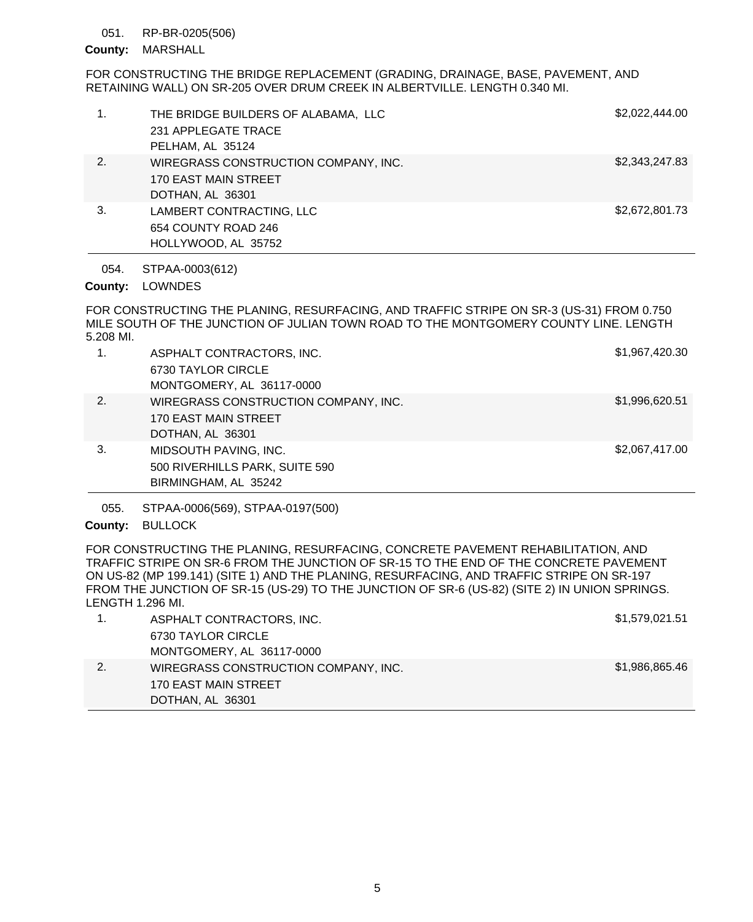#### RP-BR-0205(506) 051.

## County: MARSHALL

FOR CONSTRUCTING THE BRIDGE REPLACEMENT (GRADING, DRAINAGE, BASE, PAVEMENT, AND RETAINING WALL) ON SR-205 OVER DRUM CREEK IN ALBERTVILLE. LENGTH 0.340 MI.

| 1. | THE BRIDGE BUILDERS OF ALABAMA, LLC<br>231 APPLEGATE TRACE<br>PELHAM, AL 35124   | \$2,022,444.00 |
|----|----------------------------------------------------------------------------------|----------------|
| 2. | WIREGRASS CONSTRUCTION COMPANY, INC.<br>170 EAST MAIN STREET<br>DOTHAN, AL 36301 | \$2,343,247.83 |
| 3. | LAMBERT CONTRACTING, LLC<br>654 COUNTY ROAD 246<br>HOLLYWOOD, AL 35752           | \$2,672,801.73 |

STPAA-0003(612) 054.

# County: LOWNDES

FOR CONSTRUCTING THE PLANING, RESURFACING, AND TRAFFIC STRIPE ON SR-3 (US-31) FROM 0.750 MILE SOUTH OF THE JUNCTION OF JULIAN TOWN ROAD TO THE MONTGOMERY COUNTY LINE. LENGTH 5.208 MI.

| 1. | ASPHALT CONTRACTORS, INC.            | \$1,967,420.30 |
|----|--------------------------------------|----------------|
|    | 6730 TAYLOR CIRCLE                   |                |
|    | MONTGOMERY, AL 36117-0000            |                |
| 2. | WIREGRASS CONSTRUCTION COMPANY, INC. | \$1,996,620.51 |
|    | 170 EAST MAIN STREET                 |                |
|    | DOTHAN, AL 36301                     |                |
| 3. | MIDSOUTH PAVING, INC.                | \$2,067,417.00 |
|    | 500 RIVERHILLS PARK, SUITE 590       |                |
|    | BIRMINGHAM, AL 35242                 |                |

STPAA-0006(569), STPAA-0197(500) 055.

# County: BULLOCK

FOR CONSTRUCTING THE PLANING, RESURFACING, CONCRETE PAVEMENT REHABILITATION, AND TRAFFIC STRIPE ON SR-6 FROM THE JUNCTION OF SR-15 TO THE END OF THE CONCRETE PAVEMENT ON US-82 (MP 199.141) (SITE 1) AND THE PLANING, RESURFACING, AND TRAFFIC STRIPE ON SR-197 FROM THE JUNCTION OF SR-15 (US-29) TO THE JUNCTION OF SR-6 (US-82) (SITE 2) IN UNION SPRINGS. LENGTH 1.296 MI.

|    | ASPHALT CONTRACTORS, INC.            | \$1,579,021.51 |
|----|--------------------------------------|----------------|
|    | 6730 TAYLOR CIRCLE                   |                |
|    | MONTGOMERY, AL 36117-0000            |                |
| 2. | WIREGRASS CONSTRUCTION COMPANY, INC. | \$1,986,865.46 |
|    | 170 EAST MAIN STREET                 |                |
|    | DOTHAN, AL 36301                     |                |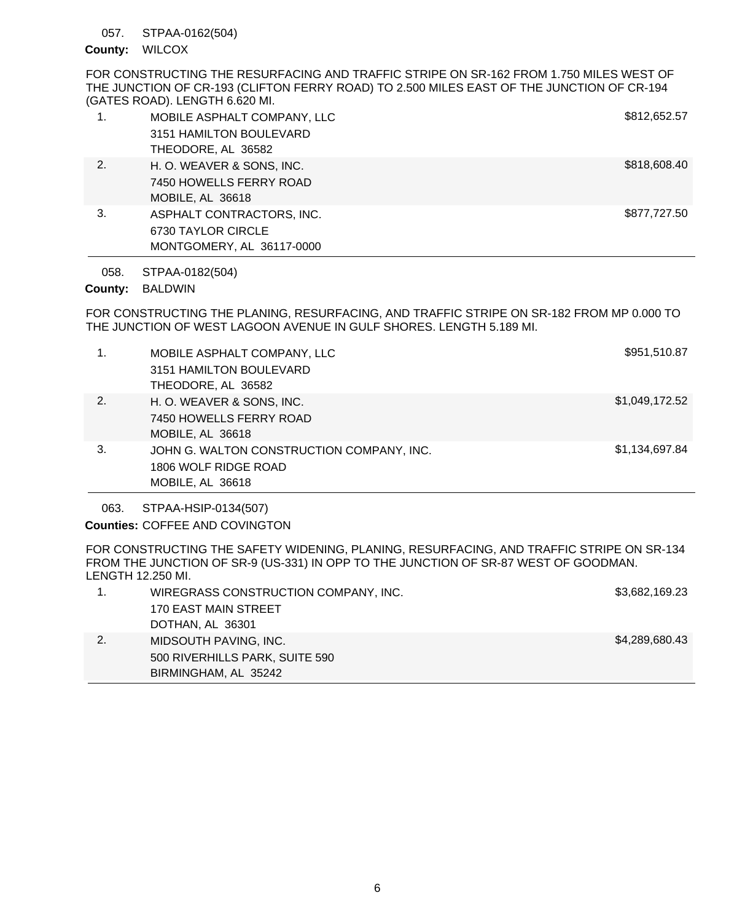#### STPAA-0162(504) 057.

### County: WILCOX

FOR CONSTRUCTING THE RESURFACING AND TRAFFIC STRIPE ON SR-162 FROM 1.750 MILES WEST OF THE JUNCTION OF CR-193 (CLIFTON FERRY ROAD) TO 2.500 MILES EAST OF THE JUNCTION OF CR-194 (GATES ROAD). LENGTH 6.620 MI.

| 1. | MOBILE ASPHALT COMPANY, LLC<br>3151 HAMILTON BOULEVARD                       | \$812,652.57 |
|----|------------------------------------------------------------------------------|--------------|
|    | THEODORE, AL 36582                                                           |              |
| 2. | H. O. WEAVER & SONS, INC.<br>7450 HOWELLS FERRY ROAD<br>MOBILE, AL 36618     | \$818,608.40 |
| 3. | ASPHALT CONTRACTORS, INC.<br>6730 TAYLOR CIRCLE<br>MONTGOMERY, AL 36117-0000 | \$877,727.50 |

STPAA-0182(504) 058.

# County: BALDWIN

FOR CONSTRUCTING THE PLANING, RESURFACING, AND TRAFFIC STRIPE ON SR-182 FROM MP 0.000 TO THE JUNCTION OF WEST LAGOON AVENUE IN GULF SHORES. LENGTH 5.189 MI.

| 1. | MOBILE ASPHALT COMPANY, LLC               | \$951,510.87   |
|----|-------------------------------------------|----------------|
|    | 3151 HAMILTON BOULEVARD                   |                |
|    | THEODORE, AL 36582                        |                |
| 2. | H. O. WEAVER & SONS, INC.                 | \$1,049,172.52 |
|    | 7450 HOWELLS FERRY ROAD                   |                |
|    | MOBILE, AL 36618                          |                |
| 3. | JOHN G. WALTON CONSTRUCTION COMPANY, INC. | \$1,134,697.84 |
|    | 1806 WOLF RIDGE ROAD                      |                |
|    | MOBILE, AL 36618                          |                |

STPAA-HSIP-0134(507) 063.

Counties: COFFEE AND COVINGTON

FOR CONSTRUCTING THE SAFETY WIDENING, PLANING, RESURFACING, AND TRAFFIC STRIPE ON SR-134 FROM THE JUNCTION OF SR-9 (US-331) IN OPP TO THE JUNCTION OF SR-87 WEST OF GOODMAN. LENGTH 12.250 MI.

| WIREGRASS CONSTRUCTION COMPANY, INC. | \$3,682,169.23 |
|--------------------------------------|----------------|
| 170 EAST MAIN STREET                 |                |
| DOTHAN, AL 36301                     |                |
| MIDSOUTH PAVING, INC.                | \$4,289,680.43 |
| 500 RIVERHILLS PARK, SUITE 590       |                |
| BIRMINGHAM, AL 35242                 |                |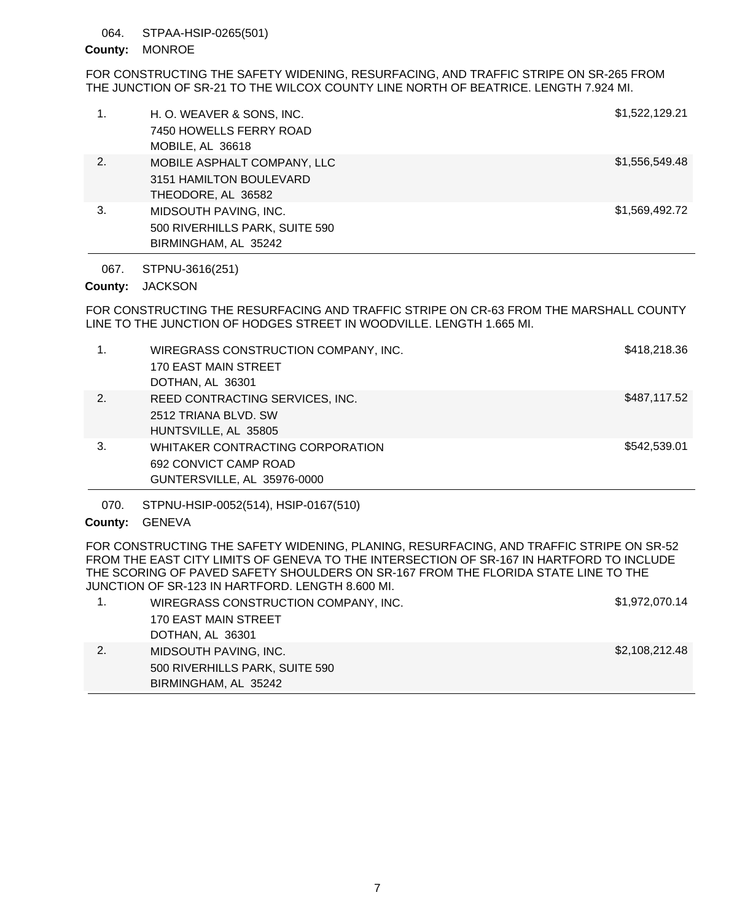#### STPAA-HSIP-0265(501) 064.

### County: MONROE

FOR CONSTRUCTING THE SAFETY WIDENING, RESURFACING, AND TRAFFIC STRIPE ON SR-265 FROM THE JUNCTION OF SR-21 TO THE WILCOX COUNTY LINE NORTH OF BEATRICE. LENGTH 7.924 MI.

| 1. | H. O. WEAVER & SONS, INC.<br>7450 HOWELLS FERRY ROAD | \$1,522,129.21 |
|----|------------------------------------------------------|----------------|
|    | MOBILE, AL 36618                                     |                |
| 2. | MOBILE ASPHALT COMPANY, LLC                          | \$1,556,549.48 |
|    | 3151 HAMILTON BOULEVARD                              |                |
|    | THEODORE, AL 36582                                   |                |
| 3. | MIDSOUTH PAVING, INC.                                | \$1,569,492.72 |
|    | 500 RIVERHILLS PARK, SUITE 590                       |                |
|    | BIRMINGHAM, AL 35242                                 |                |

STPNU-3616(251) 067.

# County: JACKSON

FOR CONSTRUCTING THE RESURFACING AND TRAFFIC STRIPE ON CR-63 FROM THE MARSHALL COUNTY LINE TO THE JUNCTION OF HODGES STREET IN WOODVILLE. LENGTH 1.665 MI.

| 1. | WIREGRASS CONSTRUCTION COMPANY, INC.<br>170 EAST MAIN STREET<br>DOTHAN, AL 36301         | \$418,218.36 |
|----|------------------------------------------------------------------------------------------|--------------|
| 2. | REED CONTRACTING SERVICES, INC.<br>2512 TRIANA BLVD, SW<br>HUNTSVILLE, AL 35805          | \$487,117.52 |
| 3. | WHITAKER CONTRACTING CORPORATION<br>692 CONVICT CAMP ROAD<br>GUNTERSVILLE, AL 35976-0000 | \$542,539.01 |

STPNU-HSIP-0052(514), HSIP-0167(510) 070.

# County: GENEVA

FOR CONSTRUCTING THE SAFETY WIDENING, PLANING, RESURFACING, AND TRAFFIC STRIPE ON SR-52 FROM THE EAST CITY LIMITS OF GENEVA TO THE INTERSECTION OF SR-167 IN HARTFORD TO INCLUDE THE SCORING OF PAVED SAFETY SHOULDERS ON SR-167 FROM THE FLORIDA STATE LINE TO THE JUNCTION OF SR-123 IN HARTFORD. LENGTH 8.600 MI.

|    | WIREGRASS CONSTRUCTION COMPANY, INC. | \$1,972,070.14 |
|----|--------------------------------------|----------------|
|    | 170 EAST MAIN STREET                 |                |
|    | DOTHAN, AL 36301                     |                |
| 2. | MIDSOUTH PAVING, INC.                | \$2,108,212.48 |
|    | 500 RIVERHILLS PARK, SUITE 590       |                |
|    | BIRMINGHAM, AL 35242                 |                |